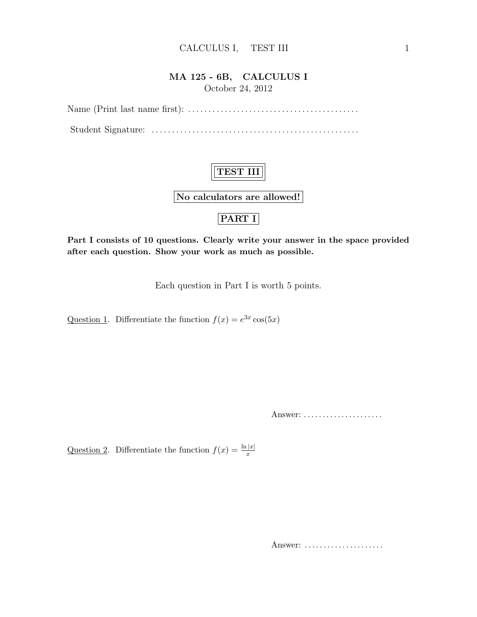#### CALCULUS I, TEST III 1

#### MA 125 - 6B, CALCULUS I October 24, 2012

Name (Print last name first): . . . . . . . . . . . . . . . . . . . . . . . . . . . . . . . . . . . . . . . . . . Student Signature: . . . . . . . . . . . . . . . . . . . . . . . . . . . . . . . . . . . . . . . . . . . . . . . . . . .

### TEST III

No calculators are allowed!

### PART I

Part I consists of 10 questions. Clearly write your answer in the space provided after each question. Show your work as much as possible.

Each question in Part I is worth 5 points.

Question 1. Differentiate the function  $f(x) = e^{3x} \cos(5x)$ 

Answer: ......................

Question 2. Differentiate the function  $f(x) = \frac{\ln |x|}{x}$ 

Answer: .....................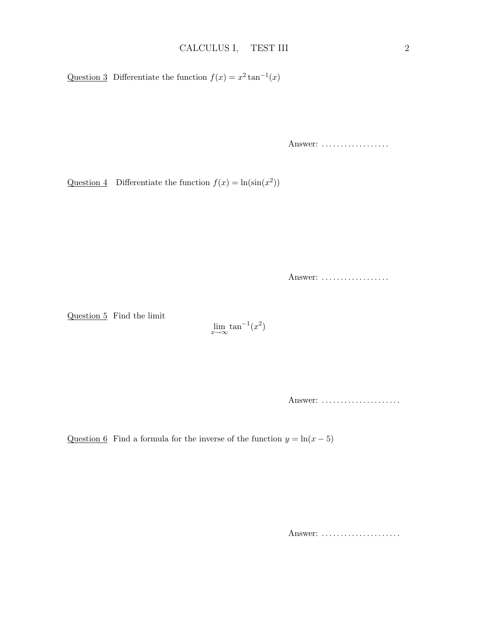Question 3 Differentiate the function  $f(x) = x^2 \tan^{-1}(x)$ 

Answer: ..................

Question 4 Differentiate the function  $f(x) = \ln(\sin(x^2))$ 

Answer: ..................

Question 5 Find the limit

 $\lim_{x \to \infty} \tan^{-1}(x^2)$ 

Answer: ......................

Question 6 Find a formula for the inverse of the function  $y = \ln(x - 5)$ 

Answer: ......................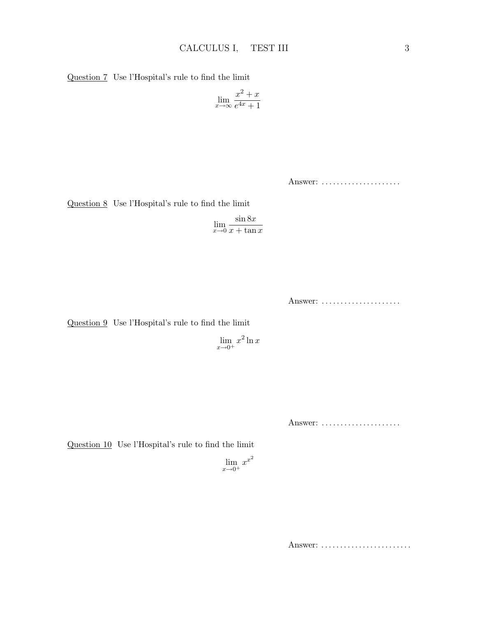Question 7 Use l'Hospital's rule to find the limit

$$
\lim_{x \to \infty} \frac{x^2 + x}{e^{4x} + 1}
$$

Answer: ......................

Question 8 Use l'Hospital's rule to find the limit

$$
\lim_{x \to 0} \frac{\sin 8x}{x + \tan x}
$$

Answer: ......................

Question 9 Use l'Hospital's rule to find the limit

 $\lim_{x\to 0^+} x^2 \ln x$ 

Answer: ......................

Question 10 Use l'Hospital's rule to find the limit

$$
\lim_{x \to 0^+} x^{x^2}
$$

Answer: .........................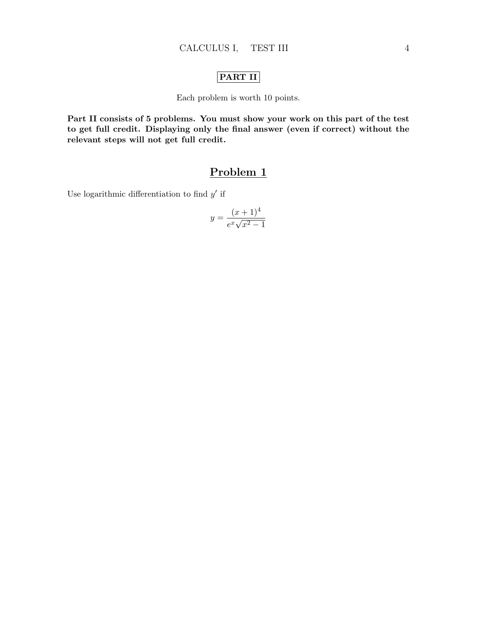#### PART II

Each problem is worth 10 points.

Part II consists of 5 problems. You must show your work on this part of the test to get full credit. Displaying only the final answer (even if correct) without the relevant steps will not get full credit.

### Problem 1

Use logarithmic differentiation to find  $y'$  if

$$
y = \frac{(x+1)^4}{e^x \sqrt{x^2 - 1}}
$$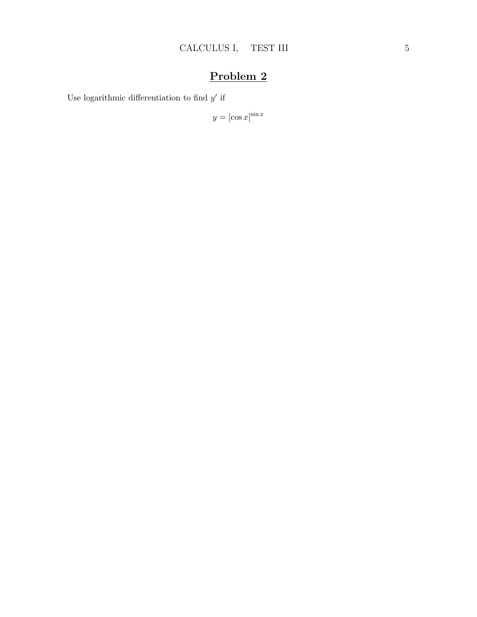Use logarithmic differentiation to find  $y'$  if

$$
y = [\cos x]^{\sin x}
$$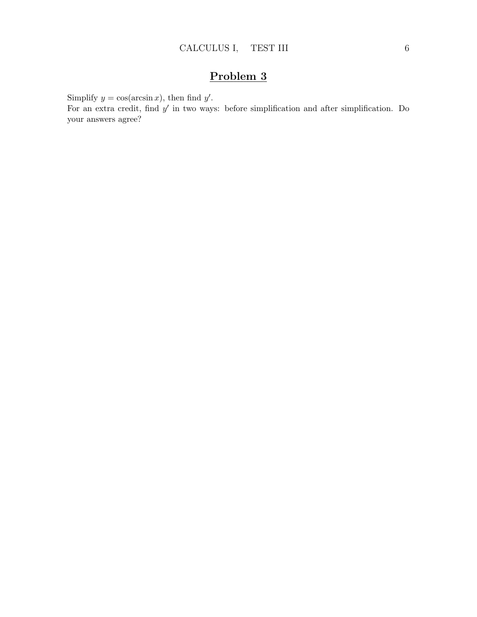Simplify  $y = \cos(\arcsin x)$ , then find  $y'$ .

For an extra credit, find  $y'$  in two ways: before simplification and after simplification. Do your answers agree?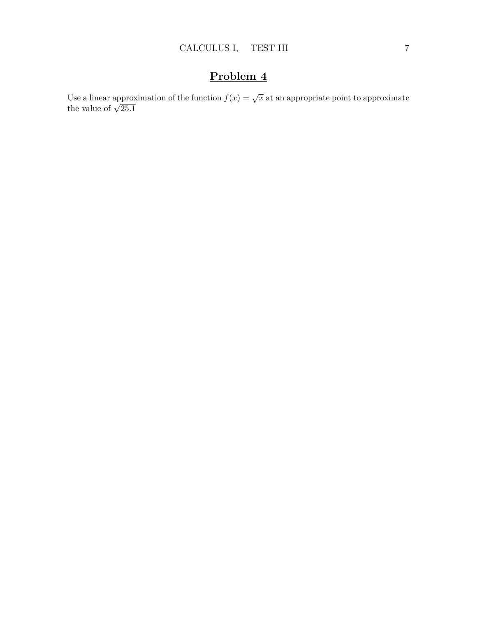Use a linear approximation of the function  $f(x) = \sqrt{x}$  at an appropriate point to approximate Use a linear approx the value of  $\sqrt{25.1}$